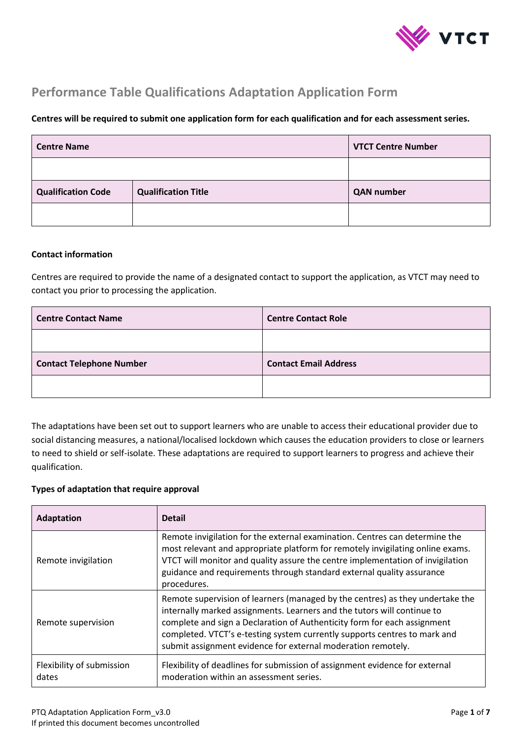

# **Performance Table Qualifications Adaptation Application Form**

#### **Centres will be required to submit one application form for each qualification and for each assessment series.**

| <b>Centre Name</b>        | <b>VTCT Centre Number</b>  |                   |
|---------------------------|----------------------------|-------------------|
|                           |                            |                   |
| <b>Qualification Code</b> | <b>Qualification Title</b> | <b>QAN</b> number |
|                           |                            |                   |

#### **Contact information**

Centres are required to provide the name of a designated contact to support the application, as VTCT may need to contact you prior to processing the application.

| <b>Centre Contact Name</b>      | <b>Centre Contact Role</b>   |
|---------------------------------|------------------------------|
|                                 |                              |
| <b>Contact Telephone Number</b> | <b>Contact Email Address</b> |
|                                 |                              |

The adaptations have been set out to support learners who are unable to access their educational provider due to social distancing measures, a national/localised lockdown which causes the education providers to close or learners to need to shield or self-isolate. These adaptations are required to support learners to progress and achieve their qualification.

#### **Types of adaptation that require approval**

| <b>Adaptation</b>                  | <b>Detail</b>                                                                                                                                                                                                                                                                                                                                                                     |
|------------------------------------|-----------------------------------------------------------------------------------------------------------------------------------------------------------------------------------------------------------------------------------------------------------------------------------------------------------------------------------------------------------------------------------|
| Remote invigilation                | Remote invigilation for the external examination. Centres can determine the<br>most relevant and appropriate platform for remotely invigilating online exams.<br>VTCT will monitor and quality assure the centre implementation of invigilation<br>guidance and requirements through standard external quality assurance<br>procedures.                                           |
| Remote supervision                 | Remote supervision of learners (managed by the centres) as they undertake the<br>internally marked assignments. Learners and the tutors will continue to<br>complete and sign a Declaration of Authenticity form for each assignment<br>completed. VTCT's e-testing system currently supports centres to mark and<br>submit assignment evidence for external moderation remotely. |
| Flexibility of submission<br>dates | Flexibility of deadlines for submission of assignment evidence for external<br>moderation within an assessment series.                                                                                                                                                                                                                                                            |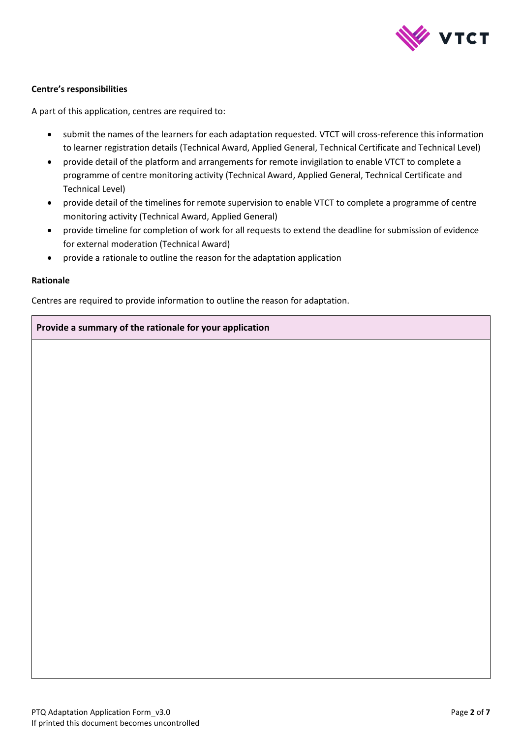

#### **Centre's responsibilities**

A part of this application, centres are required to:

- submit the names of the learners for each adaptation requested. VTCT will cross-reference this information to learner registration details (Technical Award, Applied General, Technical Certificate and Technical Level)
- provide detail of the platform and arrangements for remote invigilation to enable VTCT to complete a programme of centre monitoring activity (Technical Award, Applied General, Technical Certificate and Technical Level)
- provide detail of the timelines for remote supervision to enable VTCT to complete a programme of centre monitoring activity (Technical Award, Applied General)
- provide timeline for completion of work for all requests to extend the deadline for submission of evidence for external moderation (Technical Award)
- provide a rationale to outline the reason for the adaptation application

#### **Rationale**

Centres are required to provide information to outline the reason for adaptation.

#### **Provide a summary of the rationale for your application**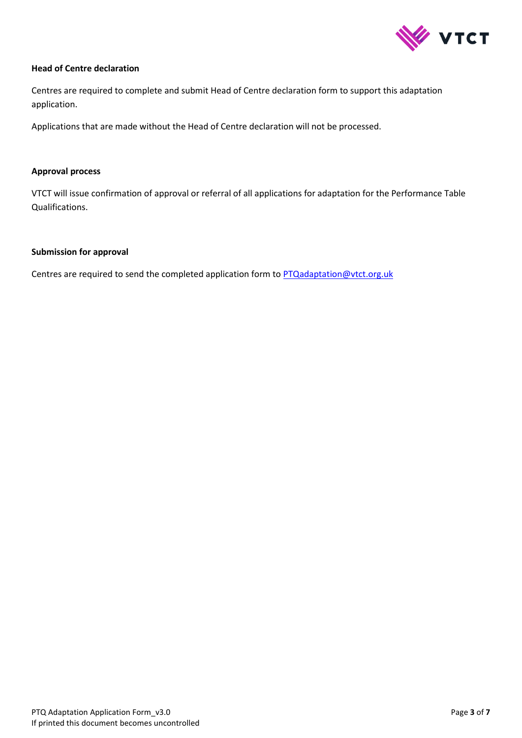

#### **Head of Centre declaration**

Centres are required to complete and submit Head of Centre declaration form to support this adaptation application.

Applications that are made without the Head of Centre declaration will not be processed.

#### **Approval process**

VTCT will issue confirmation of approval or referral of all applications for adaptation for the Performance Table Qualifications.

#### **Submission for approval**

Centres are required to send the completed application form to **PTQadaptation@vtct.org.uk**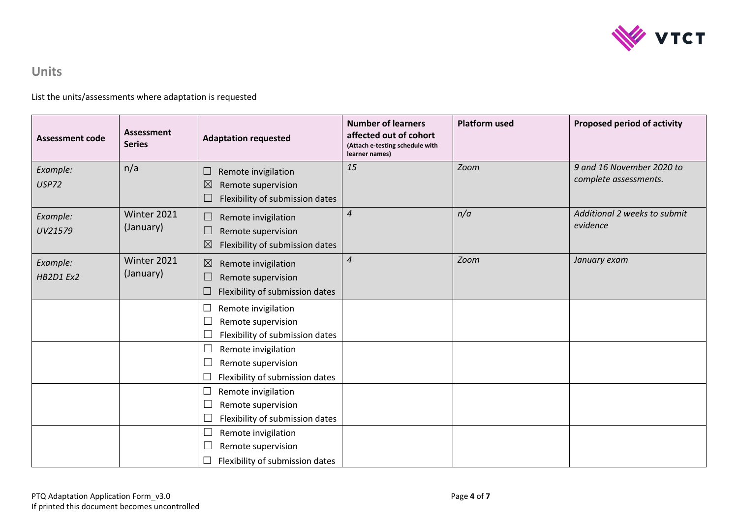

# **Units**

List the units/assessments where adaptation is requested

| <b>Assessment code</b>       | Assessment<br><b>Series</b> | <b>Adaptation requested</b>                                                                                                  | <b>Number of learners</b><br>affected out of cohort<br>(Attach e-testing schedule with<br>learner names) | <b>Platform used</b> | Proposed period of activity                        |
|------------------------------|-----------------------------|------------------------------------------------------------------------------------------------------------------------------|----------------------------------------------------------------------------------------------------------|----------------------|----------------------------------------------------|
| Example:<br><b>USP72</b>     | n/a                         | Remote invigilation<br>⊔<br>$\boxtimes$<br>Remote supervision<br>Flexibility of submission dates                             | 15                                                                                                       | Zoom                 | 9 and 16 November 2020 to<br>complete assessments. |
| Example:<br>UV21579          | Winter 2021<br>(January)    | Remote invigilation<br>$\overline{\phantom{a}}$<br>Remote supervision<br>└<br>$\boxtimes$<br>Flexibility of submission dates | $\overline{4}$                                                                                           | n/a                  | Additional 2 weeks to submit<br>evidence           |
| Example:<br><b>HB2D1 Ex2</b> | Winter 2021<br>(January)    | $\boxtimes$<br>Remote invigilation<br>Remote supervision<br>$\overline{\phantom{a}}$<br>Flexibility of submission dates<br>⊔ | $\overline{4}$                                                                                           | Zoom                 | January exam                                       |
|                              |                             | Remote invigilation<br>⊔<br>Remote supervision<br>Flexibility of submission dates                                            |                                                                                                          |                      |                                                    |
|                              |                             | Remote invigilation<br>$\Box$<br>Remote supervision<br>Flexibility of submission dates                                       |                                                                                                          |                      |                                                    |
|                              |                             | Remote invigilation<br>⊔<br>Remote supervision<br>└<br>Flexibility of submission dates<br>└                                  |                                                                                                          |                      |                                                    |
|                              |                             | Remote invigilation<br>└<br>Remote supervision<br>Flexibility of submission dates                                            |                                                                                                          |                      |                                                    |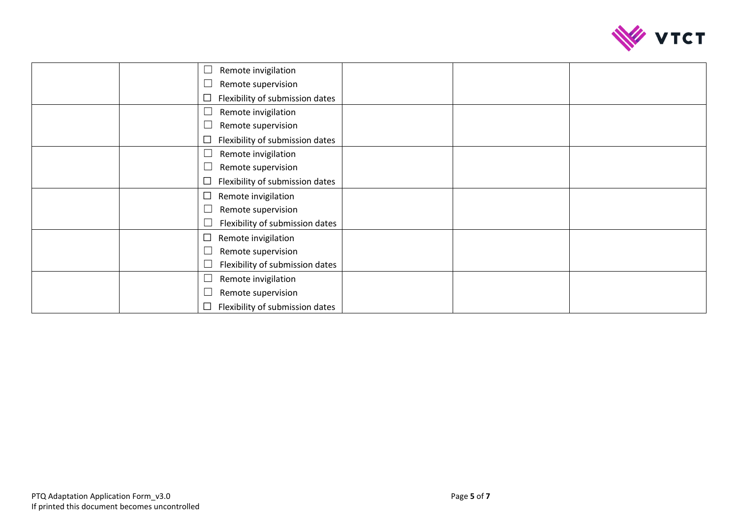

| Remote invigilation                       |  |
|-------------------------------------------|--|
| Remote supervision                        |  |
| Flexibility of submission dates<br>$\Box$ |  |
| Remote invigilation                       |  |
| Remote supervision                        |  |
| Flexibility of submission dates           |  |
| Remote invigilation                       |  |
| Remote supervision                        |  |
| Flexibility of submission dates           |  |
| $\Box$<br>Remote invigilation             |  |
| Remote supervision                        |  |
| Flexibility of submission dates           |  |
| Remote invigilation<br>$\Box$             |  |
| Remote supervision                        |  |
| Flexibility of submission dates           |  |
| Remote invigilation                       |  |
| Remote supervision                        |  |
| Flexibility of submission dates           |  |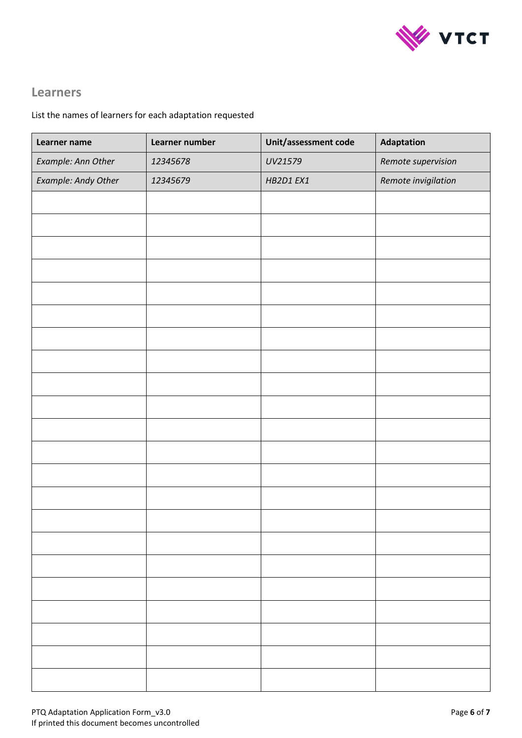

# **Learners**

## List the names of learners for each adaptation requested

| Learner name        | Learner number | Unit/assessment code | Adaptation          |
|---------------------|----------------|----------------------|---------------------|
| Example: Ann Other  | 12345678       | UV21579              | Remote supervision  |
| Example: Andy Other | 12345679       | HB2D1 EX1            | Remote invigilation |
|                     |                |                      |                     |
|                     |                |                      |                     |
|                     |                |                      |                     |
|                     |                |                      |                     |
|                     |                |                      |                     |
|                     |                |                      |                     |
|                     |                |                      |                     |
|                     |                |                      |                     |
|                     |                |                      |                     |
|                     |                |                      |                     |
|                     |                |                      |                     |
|                     |                |                      |                     |
|                     |                |                      |                     |
|                     |                |                      |                     |
|                     |                |                      |                     |
|                     |                |                      |                     |
|                     |                |                      |                     |
|                     |                |                      |                     |
|                     |                |                      |                     |
|                     |                |                      |                     |
|                     |                |                      |                     |
|                     |                |                      |                     |